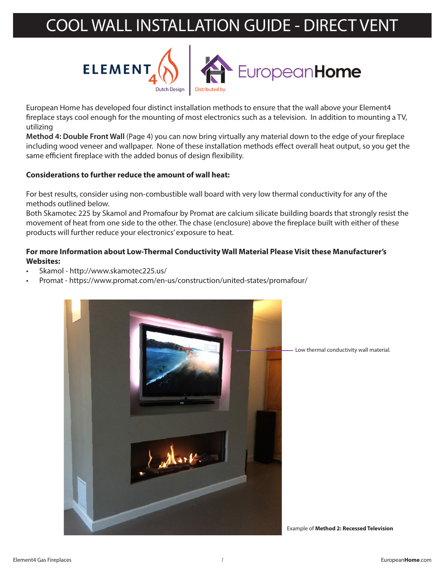

European Home has developed four distinct installation methods to ensure that the wall above your Element4 fireplace stays cool enough for the mounting of most electronics such as a television. In addition to mounting a TV, utilizing

**Method 4: Double Front Wall** (Page 4) you can now bring virtually any material down to the edge of your fireplace including wood veneer and wallpaper. None of these installation methods effect overall heat output, so you get the same efficient fireplace with the added bonus of design flexibility.

#### **Considerations to further reduce the amount of wall heat:**

For best results, consider using non-combustible wall board with very low thermal conductivity for any of the methods outlined below.

Both Skamotec 225 by Skamol and Promafour by Promat are calcium silicate building boards that strongly resist the movement of heat from one side to the other. The chase (enclosure) above the fireplace built with either of these products will further reduce your electronics' exposure to heat.

#### **For more Information about Low-Thermal Conductivity Wall Material Please Visit these Manufacturer's Websites:**

- Skamol http://www.skamotec225.us/
- Promat https://www.promat.com/en-us/construction/united-states/promafour/



Low thermal conductivity wall material.

Example of **Method 2: Recessed Television**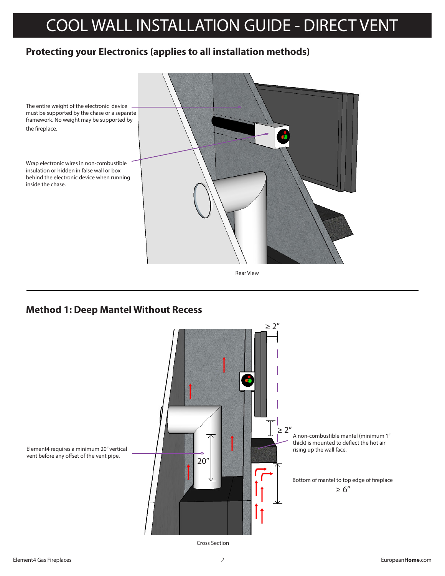## **Protecting your Electronics (applies to all installation methods)**



Rear View

### **Method 1: Deep Mantel Without Recess**



Cross Section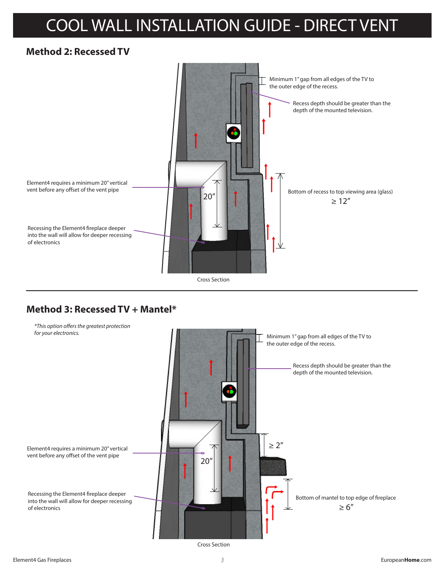## **Method 2: Recessed TV**



### **Method 3: Recessed TV + Mantel\***



Cross Section